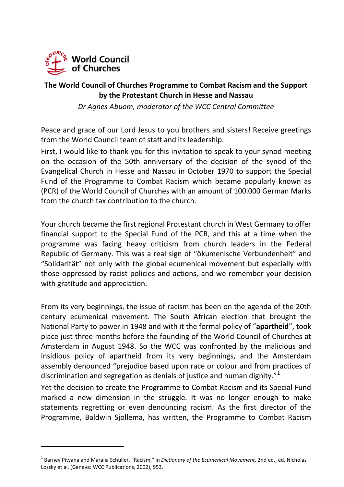

## **The World Council of Churches Programme to Combat Racism and the Support by the Protestant Church in Hesse and Nassau**

*Dr Agnes Abuom, moderator of the WCC Central Committee* 

Peace and grace of our Lord Jesus to you brothers and sisters! Receive greetings from the World Council team of staff and its leadership.

First, I would like to thank you for this invitation to speak to your synod meeting on the occasion of the 50th anniversary of the decision of the synod of the Evangelical Church in Hesse and Nassau in October 1970 to support the Special Fund of the Programme to Combat Racism which became popularly known as (PCR) of the World Council of Churches with an amount of 100.000 German Marks from the church tax contribution to the church.

Your church became the first regional Protestant church in West Germany to offer financial support to the Special Fund of the PCR, and this at a time when the programme was facing heavy criticism from church leaders in the Federal Republic of Germany. This was a real sign of "ökumenische Verbundenheit" and "Solidarität" not only with the global ecumenical movement but especially with those oppressed by racist policies and actions, and we remember your decision with gratitude and appreciation.

From its very beginnings, the issue of racism has been on the agenda of the 20th century ecumenical movement. The South African election that brought the National Party to power in 1948 and with it the formal policy of "**apartheid**", took place just three months before the founding of the World Council of Churches at Amsterdam in August 1948. So the WCC was confronted by the malicious and insidious policy of apartheid from its very beginnings, and the Amsterdam assembly denounced "prejudice based upon race or colour and from practices of discrimination and segregation as denials of justice and human dignity." $1$ 

Yet the decision to create the Programme to Combat Racism and its Special Fund marked a new dimension in the struggle. It was no longer enough to make statements regretting or even denouncing racism. As the first director of the Programme, Baldwin Sjollema, has written, the Programme to Combat Racism

<span id="page-0-0"></span><sup>1</sup> Barney Pityana and Maralia Schüller, "Racism," in *Dictionary of the Ecumenical Movement*, 2nd ed., ed. Nicholas Lossky et al. (Geneva: WCC Publications, 2002), 953.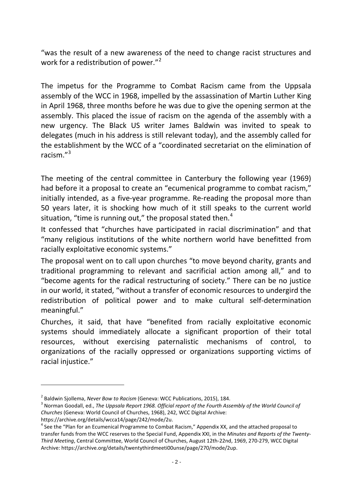"was the result of a new awareness of the need to change racist structures and work for a redistribution of power."<sup>[2](#page-1-0)</sup>

The impetus for the Programme to Combat Racism came from the Uppsala assembly of the WCC in 1968, impelled by the assassination of Martin Luther King in April 1968, three months before he was due to give the opening sermon at the assembly. This placed the issue of racism on the agenda of the assembly with a new urgency. The Black US writer James Baldwin was invited to speak to delegates (much in his address is still relevant today), and the assembly called for the establishment by the WCC of a "coordinated secretariat on the elimination of racism."[3](#page-1-1)

The meeting of the central committee in Canterbury the following year (1969) had before it a proposal to create an "ecumenical programme to combat racism," initially intended, as a five-year programme. Re-reading the proposal more than 50 years later, it is shocking how much of it still speaks to the current world situation, "time is running out," the proposal stated then.<sup>[4](#page-1-2)</sup>

It confessed that "churches have participated in racial discrimination" and that "many religious institutions of the white northern world have benefitted from racially exploitative economic systems."

The proposal went on to call upon churches "to move beyond charity, grants and traditional programming to relevant and sacrificial action among all," and to "become agents for the radical restructuring of society." There can be no justice in our world, it stated, "without a transfer of economic resources to undergird the redistribution of political power and to make cultural self-determination meaningful."

Churches, it said, that have "benefited from racially exploitative economic systems should immediately allocate a significant proportion of their total resources, without exercising paternalistic mechanisms of control, to organizations of the racially oppressed or organizations supporting victims of racial injustice."

<span id="page-1-0"></span><sup>&</sup>lt;sup>2</sup> Baldwin Sjollema, *Never Bow to Racism* (Geneva: WCC Publications, 2015), 184.<br><sup>3</sup> Nexman Coodall, ed., The Unnegle Report 1968, Official report of the Fourth Ass.

<span id="page-1-1"></span><sup>&</sup>lt;sup>3</sup> Norman Goodall, ed., *The Uppsala Report 1968. Official report of the Fourth Assembly of the World Council of Churches* (Geneva: World Council of Churches, 1968), 242, WCC Digital Archive:

https://archive.org/details/wcca14/page/242/mode/2u.

<span id="page-1-2"></span><sup>&</sup>lt;sup>4</sup> See the "Plan for an Ecumenical Programme to Combat Racism," Appendix XX, and the attached proposal to transfer funds from the WCC reserves to the Special Fund, Appendix XXI, in the *Minutes and Reports of the Twenty-Third Meeting*, Central Committee, World Council of Churches, August 12th-22nd, 1969, 270-279, WCC Digital Archive: https://archive.org/details/twentythirdmeeti00unse/page/270/mode/2up.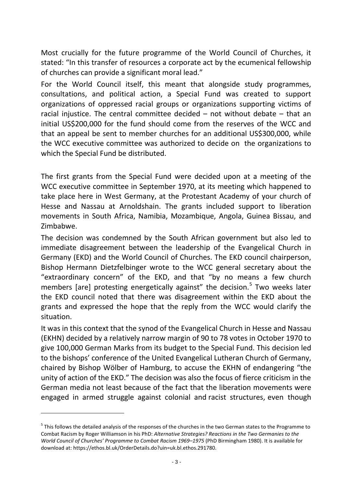Most crucially for the future programme of the World Council of Churches, it stated: "In this transfer of resources a corporate act by the ecumenical fellowship of churches can provide a significant moral lead."

For the World Council itself, this meant that alongside study programmes, consultations, and political action, a Special Fund was created to support organizations of oppressed racial groups or organizations supporting victims of racial injustice. The central committee decided  $-$  not without debate  $-$  that an initial US\$200,000 for the fund should come from the reserves of the WCC and that an appeal be sent to member churches for an additional US\$300,000, while the WCC executive committee was authorized to decide on the organizations to which the Special Fund be distributed.

The first grants from the Special Fund were decided upon at a meeting of the WCC executive committee in September 1970, at its meeting which happened to take place here in West Germany, at the Protestant Academy of your church of Hesse and Nassau at Arnoldshain. The grants included support to liberation movements in South Africa, Namibia, Mozambique, Angola, Guinea Bissau, and Zimbabwe.

The decision was condemned by the South African government but also led to immediate disagreement between the leadership of the Evangelical Church in Germany (EKD) and the World Council of Churches. The EKD council chairperson, Bishop Hermann Dietzfelbinger wrote to the WCC general secretary about the "extraordinary concern" of the EKD, and that "by no means a few church members [are] protesting energetically against" the decision.<sup>[5](#page-2-0)</sup> Two weeks later the EKD council noted that there was disagreement within the EKD about the grants and expressed the hope that the reply from the WCC would clarify the situation.

It was in this context that the synod of the Evangelical Church in Hesse and Nassau (EKHN) decided by a relatively narrow margin of 90 to 78 votes in October 1970 to give 100,000 German Marks from its budget to the Special Fund. This decision led to the bishops' conference of the United Evangelical Lutheran Church of Germany, chaired by Bishop Wölber of Hamburg, to accuse the EKHN of endangering "the unity of action of the EKD." The decision was also the focus of fierce criticism in the German media not least because of the fact that the liberation movements were engaged in armed struggle against colonial and racist structures, even though

<span id="page-2-0"></span><sup>&</sup>lt;sup>5</sup> This follows the detailed analysis of the responses of the churches in the two German states to the Programme to Combat Racism by Roger Williamson in his PhD: *Alternative Strategies? Reactions in the Two Germanies to the World Council of Churches' Programme to Combat Racism 1969–1975* (PhD Birmingham 1980). It is available for download at: https://ethos.bl.uk/OrderDetails.do?uin=uk.bl.ethos.291780.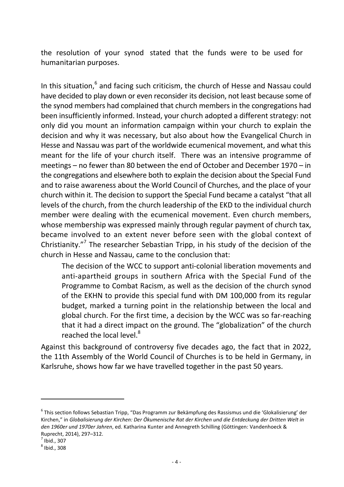the resolution of your synod stated that the funds were to be used for humanitarian purposes.

In this situation,<sup>[6](#page-3-0)</sup> and facing such criticism, the church of Hesse and Nassau could have decided to play down or even reconsider its decision, not least because some of the synod members had complained that church members in the congregations had been insufficiently informed. Instead, your church adopted a different strategy: not only did you mount an information campaign within your church to explain the decision and why it was necessary, but also about how the Evangelical Church in Hesse and Nassau was part of the worldwide ecumenical movement, and what this meant for the life of your church itself. There was an intensive programme of meetings – no fewer than 80 between the end of October and December 1970 – in the congregations and elsewhere both to explain the decision about the Special Fund and to raise awareness about the World Council of Churches, and the place of your church within it. The decision to support the Special Fund became a catalyst "that all levels of the church, from the church leadership of the EKD to the individual church member were dealing with the ecumenical movement. Even church members, whose membership was expressed mainly through regular payment of church tax, became involved to an extent never before seen with the global context of Christianity."<sup>7</sup> Th[e](#page-3-1) researcher Sebastian Tripp, in his study of the decision of the church in Hesse and Nassau, came to the conclusion that:

The decision of the WCC to support anti-colonial liberation movements and anti-apartheid groups in southern Africa with the Special Fund of the Programme to Combat Racism, as well as the decision of the church synod of the EKHN to provide this special fund with DM 100,000 from its regular budget, marked a turning point in the relationship between the local and global church. For the first time, a decision by the WCC was so far-reaching that it had a direct impact on the ground. The "globalization" of the church reached the local level.<sup>8</sup>

Against this background of c[o](#page-3-2)ntroversy five decades ago, the fact that in 2022, the 11th Assembly of the World Council of Churches is to be held in Germany, in Karlsruhe, shows how far we have travelled together in the past 50 years.

<span id="page-3-0"></span><sup>6</sup> This section follows Sebastian Tripp, "Das Programm zur Bekämpfung des Rassismus und die 'Glokalisierung' der Kirchen," in *Globalisierung der Kirchen: Der Ökumenische Rat der Kirchen und die Entdeckung der Dritten Welt in den 1960er und 1970er Jahren*, ed. Katharina Kunter and Annegreth Schilling (Göttingen: Vandenhoeck & Ruprecht, 2014), 297–312.

<span id="page-3-1"></span> $<sup>7</sup>$  Ibid., 307</sup>

<span id="page-3-2"></span> $^8$  Ibid., 308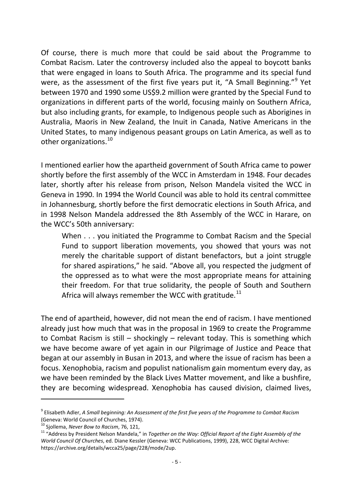Of course, there is much more that could be said about the Programme to Combat Racism. Later the controversy included also the appeal to boycott banks that were engaged in loans to South Africa. The programme and its special fund were, as the assessment of the first five years put it, "A Small Beginning."<sup>[9](#page-4-0)</sup> Yet between 1970 and 1990 some US\$9.2 million were granted by the Special Fund to organizations in different parts of the world, focusing mainly on Southern Africa, but also including grants, for example, to Indigenous people such as Aborigines in Australia, Maoris in New Zealand, the Inuit in Canada, Native Americans in the United States, to many indigenous peasant groups on Latin America, as well as to other organizations.<sup>[10](#page-4-1)</sup>

I mentioned earlier how the apartheid government of South Africa came to power shortly before the first assembly of the WCC in Amsterdam in 1948. Four decades later, shortly after his release from prison, Nelson Mandela visited the WCC in Geneva in 1990. In 1994 the World Council was able to hold its central committee in Johannesburg, shortly before the first democratic elections in South Africa, and in 1998 Nelson Mandela addressed the 8th Assembly of the WCC in Harare, on the WCC's 50th anniversary:

When . . . you initiated the Programme to Combat Racism and the Special Fund to support liberation movements, you showed that yours was not merely the charitable support of distant benefactors, but a joint struggle for shared aspirations," he said. "Above all, you respected the judgment of the oppressed as to what were the most appropriate means for attaining their freedom. For that true solidarity, the people of South and Southern Africa will always remember the WCC with gratitude.<sup>[11](#page-4-2)</sup>

The end of apartheid, however, did not mean the end of racism. I have mentioned already just how much that was in the proposal in 1969 to create the Programme to Combat Racism is still – shockingly – relevant today. This is something which we have become aware of yet again in our Pilgrimage of Justice and Peace that began at our assembly in Busan in 2013, and where the issue of racism has been a focus. Xenophobia, racism and populist nationalism gain momentum every day, as we have been reminded by the Black Lives Matter movement, and like a bushfire, they are becoming widespread. Xenophobia has caused division, claimed lives,

<span id="page-4-0"></span><sup>9</sup> Elisabeth Adler, *A Small beginning: An Assessment of the first five years of the Programme to Combat Racism*  (Geneva: World Council of Churches, 1974).<br><sup>10</sup> Sjollema, Never Bow to Racism, 76, 121,

<span id="page-4-1"></span>

<span id="page-4-2"></span><sup>&</sup>lt;sup>11</sup> "Address by President Nelson Mandela," in *Together on the Way: Official Report of the Eight Assembly of the World Council Of Churches*, ed. Diane Kessler (Geneva: WCC Publications, 1999), 228, WCC Digital Archive: https://archive.org/details/wcca25/page/228/mode/2up.